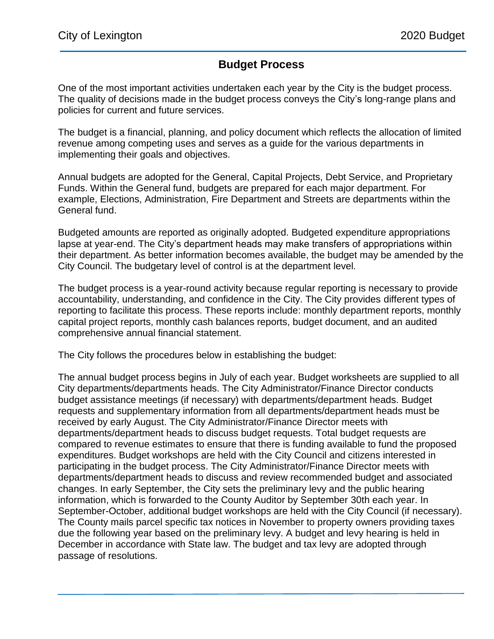## **Budget Process**

One of the most important activities undertaken each year by the City is the budget process. The quality of decisions made in the budget process conveys the City's long-range plans and policies for current and future services.

The budget is a financial, planning, and policy document which reflects the allocation of limited revenue among competing uses and serves as a guide for the various departments in implementing their goals and objectives.

Annual budgets are adopted for the General, Capital Projects, Debt Service, and Proprietary Funds. Within the General fund, budgets are prepared for each major department. For example, Elections, Administration, Fire Department and Streets are departments within the General fund.

Budgeted amounts are reported as originally adopted. Budgeted expenditure appropriations lapse at year-end. The City's department heads may make transfers of appropriations within their department. As better information becomes available, the budget may be amended by the City Council. The budgetary level of control is at the department level.

The budget process is a year-round activity because regular reporting is necessary to provide accountability, understanding, and confidence in the City. The City provides different types of reporting to facilitate this process. These reports include: monthly department reports, monthly capital project reports, monthly cash balances reports, budget document, and an audited comprehensive annual financial statement.

The City follows the procedures below in establishing the budget:

The annual budget process begins in July of each year. Budget worksheets are supplied to all City departments/departments heads. The City Administrator/Finance Director conducts budget assistance meetings (if necessary) with departments/department heads. Budget requests and supplementary information from all departments/department heads must be received by early August. The City Administrator/Finance Director meets with departments/department heads to discuss budget requests. Total budget requests are compared to revenue estimates to ensure that there is funding available to fund the proposed expenditures. Budget workshops are held with the City Council and citizens interested in participating in the budget process. The City Administrator/Finance Director meets with departments/department heads to discuss and review recommended budget and associated changes. In early September, the City sets the preliminary levy and the public hearing information, which is forwarded to the County Auditor by September 30th each year. In September-October, additional budget workshops are held with the City Council (if necessary). The County mails parcel specific tax notices in November to property owners providing taxes due the following year based on the preliminary levy. A budget and levy hearing is held in December in accordance with State law. The budget and tax levy are adopted through passage of resolutions.